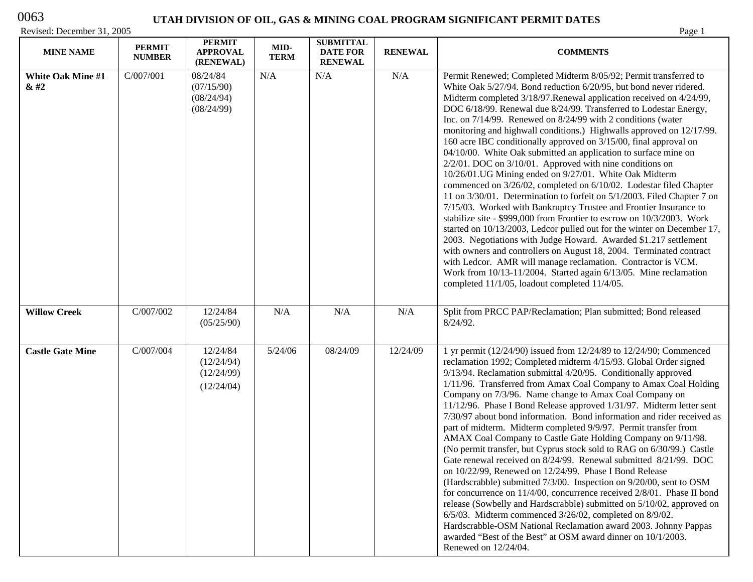# 0063

# **UTAH DIVISION OF OIL, GAS & MINING COAL PROGRAM SIGNIFICANT PERMIT DATES**

| <b>MINE NAME</b>                 | <b>PERMIT</b><br><b>NUMBER</b> | <b>PERMIT</b><br><b>APPROVAL</b><br>(RENEWAL)      | MID-<br><b>TERM</b> | <b>SUBMITTAL</b><br><b>DATE FOR</b><br><b>RENEWAL</b> | <b>RENEWAL</b> | <b>COMMENTS</b>                                                                                                                                                                                                                                                                                                                                                                                                                                                                                                                                                                                                                                                                                                                                                                                                                                                                                                                                                                                                                                                                                                                                                                                                                                                                                                                                                                                          |
|----------------------------------|--------------------------------|----------------------------------------------------|---------------------|-------------------------------------------------------|----------------|----------------------------------------------------------------------------------------------------------------------------------------------------------------------------------------------------------------------------------------------------------------------------------------------------------------------------------------------------------------------------------------------------------------------------------------------------------------------------------------------------------------------------------------------------------------------------------------------------------------------------------------------------------------------------------------------------------------------------------------------------------------------------------------------------------------------------------------------------------------------------------------------------------------------------------------------------------------------------------------------------------------------------------------------------------------------------------------------------------------------------------------------------------------------------------------------------------------------------------------------------------------------------------------------------------------------------------------------------------------------------------------------------------|
| <b>White Oak Mine #1</b><br>& 42 | C/007/001                      | 08/24/84<br>(07/15/90)<br>(08/24/94)<br>(08/24/99) | N/A                 | N/A                                                   | N/A            | Permit Renewed; Completed Midterm 8/05/92; Permit transferred to<br>White Oak 5/27/94. Bond reduction 6/20/95, but bond never ridered.<br>Midterm completed 3/18/97. Renewal application received on 4/24/99,<br>DOC 6/18/99. Renewal due 8/24/99. Transferred to Lodestar Energy,<br>Inc. on 7/14/99. Renewed on 8/24/99 with 2 conditions (water<br>monitoring and highwall conditions.) Highwalls approved on 12/17/99.<br>160 acre IBC conditionally approved on 3/15/00, final approval on<br>04/10/00. White Oak submitted an application to surface mine on<br>$2/2/01$ . DOC on $3/10/01$ . Approved with nine conditions on<br>10/26/01.UG Mining ended on 9/27/01. White Oak Midterm<br>commenced on 3/26/02, completed on 6/10/02. Lodestar filed Chapter<br>11 on 3/30/01. Determination to forfeit on 5/1/2003. Filed Chapter 7 on<br>7/15/03. Worked with Bankruptcy Trustee and Frontier Insurance to<br>stabilize site - \$999,000 from Frontier to escrow on 10/3/2003. Work<br>started on 10/13/2003, Ledcor pulled out for the winter on December 17,<br>2003. Negotiations with Judge Howard. Awarded \$1.217 settlement<br>with owners and controllers on August 18, 2004. Terminated contract<br>with Ledcor. AMR will manage reclamation. Contractor is VCM.<br>Work from 10/13-11/2004. Started again 6/13/05. Mine reclamation<br>completed 11/1/05, loadout completed 11/4/05. |
| <b>Willow Creek</b>              | C/007/002                      | 12/24/84<br>(05/25/90)                             | N/A                 | N/A                                                   | N/A            | Split from PRCC PAP/Reclamation; Plan submitted; Bond released<br>8/24/92.                                                                                                                                                                                                                                                                                                                                                                                                                                                                                                                                                                                                                                                                                                                                                                                                                                                                                                                                                                                                                                                                                                                                                                                                                                                                                                                               |
| <b>Castle Gate Mine</b>          | C/007/004                      | 12/24/84<br>(12/24/94)<br>(12/24/99)<br>(12/24/04) | 5/24/06             | 08/24/09                                              | 12/24/09       | 1 yr permit (12/24/90) issued from 12/24/89 to 12/24/90; Commenced<br>reclamation 1992; Completed midterm 4/15/93. Global Order signed<br>9/13/94. Reclamation submittal 4/20/95. Conditionally approved<br>1/11/96. Transferred from Amax Coal Company to Amax Coal Holding<br>Company on 7/3/96. Name change to Amax Coal Company on<br>11/12/96. Phase I Bond Release approved 1/31/97. Midterm letter sent<br>7/30/97 about bond information. Bond information and rider received as<br>part of midterm. Midterm completed 9/9/97. Permit transfer from<br>AMAX Coal Company to Castle Gate Holding Company on 9/11/98.<br>(No permit transfer, but Cyprus stock sold to RAG on 6/30/99.) Castle<br>Gate renewal received on 8/24/99. Renewal submitted 8/21/99. DOC<br>on 10/22/99, Renewed on 12/24/99. Phase I Bond Release<br>(Hardscrabble) submitted 7/3/00. Inspection on 9/20/00, sent to OSM<br>for concurrence on 11/4/00, concurrence received 2/8/01. Phase II bond<br>release (Sowbelly and Hardscrabble) submitted on 5/10/02, approved on<br>$6/5/03$ . Midterm commenced $3/26/02$ , completed on $8/9/02$ .<br>Hardscrabble-OSM National Reclamation award 2003. Johnny Pappas<br>awarded "Best of the Best" at OSM award dinner on 10/1/2003.<br>Renewed on 12/24/04.                                                                                                              |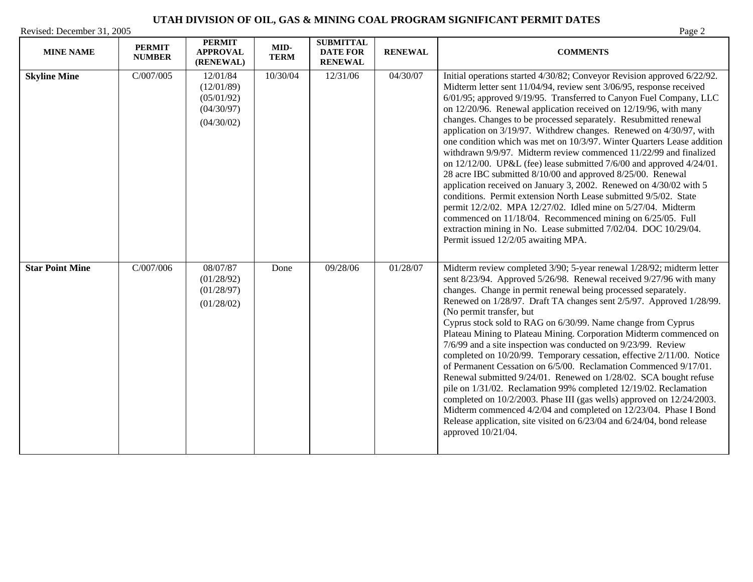| <b>MINE NAME</b>       | <b>PERMIT</b><br><b>NUMBER</b> | <b>PERMIT</b><br><b>APPROVAL</b><br>(RENEWAL)                    | MID-<br><b>TERM</b> | <b>SUBMITTAL</b><br><b>DATE FOR</b><br><b>RENEWAL</b> | <b>RENEWAL</b> | <b>COMMENTS</b>                                                                                                                                                                                                                                                                                                                                                                                                                                                                                                                                                                                                                                                                                                                                                                                                                                                                                                                                                                                                                                                                                                     |
|------------------------|--------------------------------|------------------------------------------------------------------|---------------------|-------------------------------------------------------|----------------|---------------------------------------------------------------------------------------------------------------------------------------------------------------------------------------------------------------------------------------------------------------------------------------------------------------------------------------------------------------------------------------------------------------------------------------------------------------------------------------------------------------------------------------------------------------------------------------------------------------------------------------------------------------------------------------------------------------------------------------------------------------------------------------------------------------------------------------------------------------------------------------------------------------------------------------------------------------------------------------------------------------------------------------------------------------------------------------------------------------------|
| <b>Skyline Mine</b>    | C/007/005                      | 12/01/84<br>(12/01/89)<br>(05/01/92)<br>(04/30/97)<br>(04/30/02) | 10/30/04            | 12/31/06                                              | 04/30/07       | Initial operations started 4/30/82; Conveyor Revision approved 6/22/92.<br>Midterm letter sent 11/04/94, review sent 3/06/95, response received<br>6/01/95; approved 9/19/95. Transferred to Canyon Fuel Company, LLC<br>on 12/20/96. Renewal application received on 12/19/96, with many<br>changes. Changes to be processed separately. Resubmitted renewal<br>application on 3/19/97. Withdrew changes. Renewed on 4/30/97, with<br>one condition which was met on 10/3/97. Winter Quarters Lease addition<br>withdrawn 9/9/97. Midterm review commenced 11/22/99 and finalized<br>on $12/12/00$ . UP&L (fee) lease submitted $7/6/00$ and approved $4/24/01$ .<br>28 acre IBC submitted 8/10/00 and approved 8/25/00. Renewal<br>application received on January 3, 2002. Renewed on 4/30/02 with 5<br>conditions. Permit extension North Lease submitted 9/5/02. State<br>permit 12/2/02. MPA 12/27/02. Idled mine on 5/27/04. Midterm<br>commenced on 11/18/04. Recommenced mining on 6/25/05. Full<br>extraction mining in No. Lease submitted 7/02/04. DOC 10/29/04.<br>Permit issued 12/2/05 awaiting MPA. |
| <b>Star Point Mine</b> | C/007/006                      | 08/07/87<br>(01/28/92)<br>(01/28/97)<br>(01/28/02)               | Done                | 09/28/06                                              | 01/28/07       | Midterm review completed 3/90; 5-year renewal 1/28/92; midterm letter<br>sent 8/23/94. Approved 5/26/98. Renewal received 9/27/96 with many<br>changes. Change in permit renewal being processed separately.<br>Renewed on 1/28/97. Draft TA changes sent 2/5/97. Approved 1/28/99.<br>(No permit transfer, but<br>Cyprus stock sold to RAG on 6/30/99. Name change from Cyprus<br>Plateau Mining to Plateau Mining. Corporation Midterm commenced on<br>7/6/99 and a site inspection was conducted on 9/23/99. Review<br>completed on 10/20/99. Temporary cessation, effective 2/11/00. Notice<br>of Permanent Cessation on 6/5/00. Reclamation Commenced 9/17/01.<br>Renewal submitted 9/24/01. Renewed on 1/28/02. SCA bought refuse<br>pile on 1/31/02. Reclamation 99% completed 12/19/02. Reclamation<br>completed on 10/2/2003. Phase III (gas wells) approved on 12/24/2003.<br>Midterm commenced 4/2/04 and completed on 12/23/04. Phase I Bond<br>Release application, site visited on 6/23/04 and 6/24/04, bond release<br>approved 10/21/04.                                                            |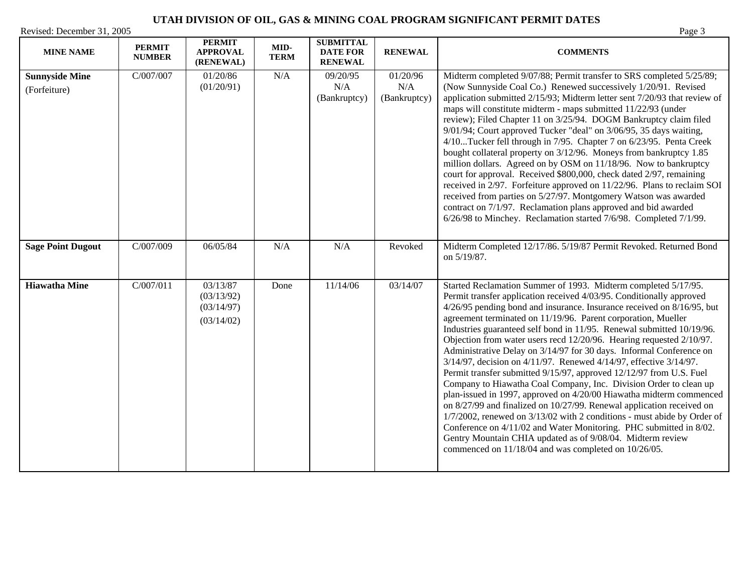| <b>MINE NAME</b>                      | <b>PERMIT</b><br><b>NUMBER</b> | <b>PERMIT</b><br><b>APPROVAL</b><br>(RENEWAL)      | $MID-$<br><b>TERM</b> | <b>SUBMITTAL</b><br><b>DATE FOR</b><br><b>RENEWAL</b> | <b>RENEWAL</b>                  | <b>COMMENTS</b>                                                                                                                                                                                                                                                                                                                                                                                                                                                                                                                                                                                                                                                                                                                                                                                                                                                                                                                                                                                                                                                                                                                                   |
|---------------------------------------|--------------------------------|----------------------------------------------------|-----------------------|-------------------------------------------------------|---------------------------------|---------------------------------------------------------------------------------------------------------------------------------------------------------------------------------------------------------------------------------------------------------------------------------------------------------------------------------------------------------------------------------------------------------------------------------------------------------------------------------------------------------------------------------------------------------------------------------------------------------------------------------------------------------------------------------------------------------------------------------------------------------------------------------------------------------------------------------------------------------------------------------------------------------------------------------------------------------------------------------------------------------------------------------------------------------------------------------------------------------------------------------------------------|
| <b>Sunnyside Mine</b><br>(Forfeiture) | C/007/007                      | 01/20/86<br>(01/20/91)                             | N/A                   | 09/20/95<br>N/A<br>(Bankruptcy)                       | 01/20/96<br>N/A<br>(Bankruptcy) | Midterm completed 9/07/88; Permit transfer to SRS completed 5/25/89;<br>(Now Sunnyside Coal Co.) Renewed successively 1/20/91. Revised<br>application submitted 2/15/93; Midterm letter sent 7/20/93 that review of<br>maps will constitute midterm - maps submitted 11/22/93 (under<br>review); Filed Chapter 11 on 3/25/94. DOGM Bankruptcy claim filed<br>9/01/94; Court approved Tucker "deal" on 3/06/95, 35 days waiting,<br>4/10Tucker fell through in 7/95. Chapter 7 on 6/23/95. Penta Creek<br>bought collateral property on 3/12/96. Moneys from bankruptcy 1.85<br>million dollars. Agreed on by OSM on 11/18/96. Now to bankruptcy<br>court for approval. Received \$800,000, check dated 2/97, remaining<br>received in 2/97. Forfeiture approved on 11/22/96. Plans to reclaim SOI<br>received from parties on 5/27/97. Montgomery Watson was awarded<br>contract on 7/1/97. Reclamation plans approved and bid awarded<br>6/26/98 to Minchey. Reclamation started 7/6/98. Completed 7/1/99.                                                                                                                                       |
| <b>Sage Point Dugout</b>              | C/007/009                      | 06/05/84                                           | N/A                   | N/A                                                   | Revoked                         | Midterm Completed 12/17/86. 5/19/87 Permit Revoked. Returned Bond<br>on 5/19/87.                                                                                                                                                                                                                                                                                                                                                                                                                                                                                                                                                                                                                                                                                                                                                                                                                                                                                                                                                                                                                                                                  |
| <b>Hiawatha Mine</b>                  | C/007/011                      | 03/13/87<br>(03/13/92)<br>(03/14/97)<br>(03/14/02) | Done                  | 11/14/06                                              | 03/14/07                        | Started Reclamation Summer of 1993. Midterm completed 5/17/95.<br>Permit transfer application received 4/03/95. Conditionally approved<br>4/26/95 pending bond and insurance. Insurance received on 8/16/95, but<br>agreement terminated on 11/19/96. Parent corporation, Mueller<br>Industries guaranteed self bond in 11/95. Renewal submitted 10/19/96.<br>Objection from water users recd 12/20/96. Hearing requested 2/10/97.<br>Administrative Delay on 3/14/97 for 30 days. Informal Conference on<br>3/14/97, decision on 4/11/97. Renewed 4/14/97, effective 3/14/97.<br>Permit transfer submitted 9/15/97, approved 12/12/97 from U.S. Fuel<br>Company to Hiawatha Coal Company, Inc. Division Order to clean up<br>plan-issued in 1997, approved on 4/20/00 Hiawatha midterm commenced<br>on 8/27/99 and finalized on 10/27/99. Renewal application received on<br>1/7/2002, renewed on 3/13/02 with 2 conditions - must abide by Order of<br>Conference on 4/11/02 and Water Monitoring. PHC submitted in 8/02.<br>Gentry Mountain CHIA updated as of 9/08/04. Midterm review<br>commenced on 11/18/04 and was completed on 10/26/05. |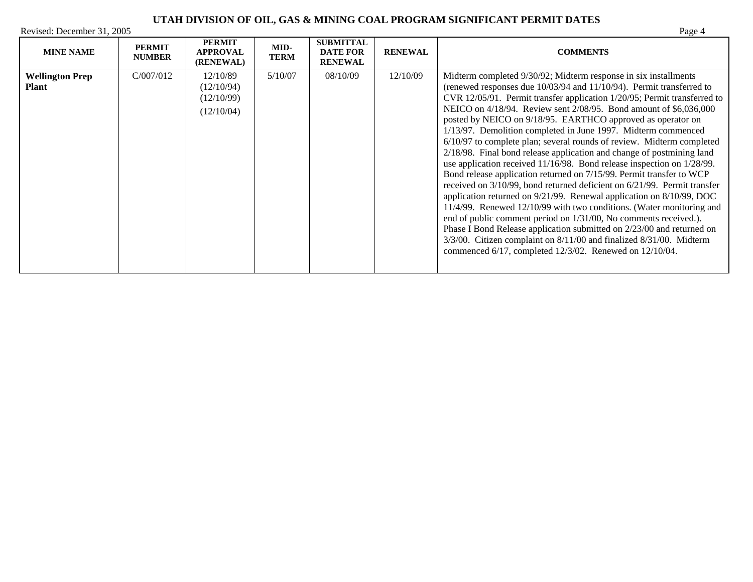| <b>MINE NAME</b>                       | <b>PERMIT</b><br><b>NUMBER</b> | <b>PERMIT</b><br><b>APPROVAL</b><br>(RENEWAL)      | MID-<br><b>TERM</b> | <b>SUBMITTAL</b><br><b>DATE FOR</b><br><b>RENEWAL</b> | <b>RENEWAL</b> | <b>COMMENTS</b>                                                                                                                                                                                                                                                                                                                                                                                                                                                                                                                                                                                                                                                                                                                                                                                                                                                                                                                                                                                                                                                                                                                                                                                                                               |
|----------------------------------------|--------------------------------|----------------------------------------------------|---------------------|-------------------------------------------------------|----------------|-----------------------------------------------------------------------------------------------------------------------------------------------------------------------------------------------------------------------------------------------------------------------------------------------------------------------------------------------------------------------------------------------------------------------------------------------------------------------------------------------------------------------------------------------------------------------------------------------------------------------------------------------------------------------------------------------------------------------------------------------------------------------------------------------------------------------------------------------------------------------------------------------------------------------------------------------------------------------------------------------------------------------------------------------------------------------------------------------------------------------------------------------------------------------------------------------------------------------------------------------|
| <b>Wellington Prep</b><br><b>Plant</b> | C/007/012                      | 12/10/89<br>(12/10/94)<br>(12/10/99)<br>(12/10/04) | 5/10/07             | 08/10/09                                              | 12/10/09       | Midterm completed 9/30/92; Midterm response in six installments<br>(renewed responses due 10/03/94 and 11/10/94). Permit transferred to<br>CVR 12/05/91. Permit transfer application 1/20/95; Permit transferred to<br>NEICO on 4/18/94. Review sent 2/08/95. Bond amount of \$6,036,000<br>posted by NEICO on 9/18/95. EARTHCO approved as operator on<br>1/13/97. Demolition completed in June 1997. Midterm commenced<br>6/10/97 to complete plan; several rounds of review. Midterm completed<br>2/18/98. Final bond release application and change of postmining land<br>use application received 11/16/98. Bond release inspection on 1/28/99.<br>Bond release application returned on 7/15/99. Permit transfer to WCP<br>received on 3/10/99, bond returned deficient on 6/21/99. Permit transfer<br>application returned on $9/21/99$ . Renewal application on $8/10/99$ , DOC<br>11/4/99. Renewed 12/10/99 with two conditions. (Water monitoring and<br>end of public comment period on 1/31/00, No comments received.).<br>Phase I Bond Release application submitted on 2/23/00 and returned on<br>3/3/00. Citizen complaint on 8/11/00 and finalized 8/31/00. Midterm<br>commenced 6/17, completed 12/3/02. Renewed on 12/10/04. |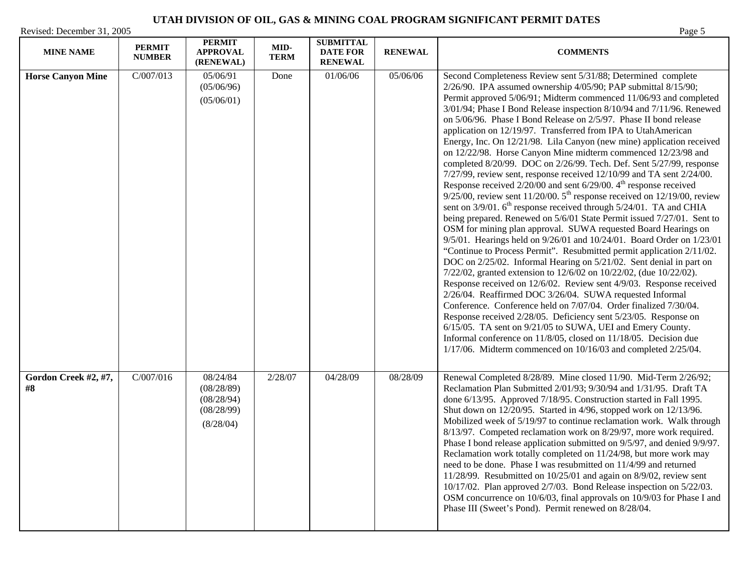| <b>MINE NAME</b>           | <b>PERMIT</b><br><b>NUMBER</b> | <b>PERMIT</b><br><b>APPROVAL</b><br>(RENEWAL)                                | MID-<br><b>TERM</b> | <b>SUBMITTAL</b><br><b>DATE FOR</b><br><b>RENEWAL</b> | <b>RENEWAL</b> | <b>COMMENTS</b>                                                                                                                                                                                                                                                                                                                                                                                                                                                                                                                                                                                                                                                                                                                                                                                                                                                                                                                                                                                                                                                                                                                                                                                                                                                                                                                                                                                                                                                                                                                                                                                                                                                                                                                                                                                                                                                                                         |
|----------------------------|--------------------------------|------------------------------------------------------------------------------|---------------------|-------------------------------------------------------|----------------|---------------------------------------------------------------------------------------------------------------------------------------------------------------------------------------------------------------------------------------------------------------------------------------------------------------------------------------------------------------------------------------------------------------------------------------------------------------------------------------------------------------------------------------------------------------------------------------------------------------------------------------------------------------------------------------------------------------------------------------------------------------------------------------------------------------------------------------------------------------------------------------------------------------------------------------------------------------------------------------------------------------------------------------------------------------------------------------------------------------------------------------------------------------------------------------------------------------------------------------------------------------------------------------------------------------------------------------------------------------------------------------------------------------------------------------------------------------------------------------------------------------------------------------------------------------------------------------------------------------------------------------------------------------------------------------------------------------------------------------------------------------------------------------------------------------------------------------------------------------------------------------------------------|
| <b>Horse Canyon Mine</b>   | C/007/013                      | 05/06/91<br>(05/06/96)<br>(05/06/01)                                         | Done                | 01/06/06                                              | 05/06/06       | Second Completeness Review sent 5/31/88; Determined complete<br>2/26/90. IPA assumed ownership 4/05/90; PAP submittal 8/15/90;<br>Permit approved 5/06/91; Midterm commenced 11/06/93 and completed<br>3/01/94; Phase I Bond Release inspection 8/10/94 and 7/11/96. Renewed<br>on 5/06/96. Phase I Bond Release on 2/5/97. Phase II bond release<br>application on 12/19/97. Transferred from IPA to UtahAmerican<br>Energy, Inc. On 12/21/98. Lila Canyon (new mine) application received<br>on 12/22/98. Horse Canyon Mine midterm commenced 12/23/98 and<br>completed 8/20/99. DOC on 2/26/99. Tech. Def. Sent 5/27/99, response<br>7/27/99, review sent, response received 12/10/99 and TA sent 2/24/00.<br>Response received 2/20/00 and sent 6/29/00. 4 <sup>th</sup> response received<br>$9/25/00$ , review sent 11/20/00. $5th$ response received on 12/19/00, review<br>sent on $3/9/01$ . 6 <sup>th</sup> response received through $5/24/01$ . TA and CHIA<br>being prepared. Renewed on 5/6/01 State Permit issued 7/27/01. Sent to<br>OSM for mining plan approval. SUWA requested Board Hearings on<br>9/5/01. Hearings held on 9/26/01 and 10/24/01. Board Order on 1/23/01<br>"Continue to Process Permit". Resubmitted permit application 2/11/02.<br>DOC on 2/25/02. Informal Hearing on 5/21/02. Sent denial in part on<br>7/22/02, granted extension to 12/6/02 on 10/22/02, (due 10/22/02).<br>Response received on 12/6/02. Review sent 4/9/03. Response received<br>2/26/04. Reaffirmed DOC 3/26/04. SUWA requested Informal<br>Conference. Conference held on 7/07/04. Order finalized 7/30/04.<br>Response received 2/28/05. Deficiency sent 5/23/05. Response on<br>6/15/05. TA sent on 9/21/05 to SUWA, UEI and Emery County.<br>Informal conference on 11/8/05, closed on 11/18/05. Decision due<br>$1/17/06$ . Midterm commenced on $10/16/03$ and completed $2/25/04$ . |
| Gordon Creek #2, #7,<br>#8 | C/007/016                      | $\overline{08}/24/84$<br>(08/28/89)<br>(08/28/94)<br>(08/28/99)<br>(8/28/04) | 2/28/07             | 04/28/09                                              | 08/28/09       | Renewal Completed 8/28/89. Mine closed 11/90. Mid-Term 2/26/92;<br>Reclamation Plan Submitted 2/01/93; 9/30/94 and 1/31/95. Draft TA<br>done 6/13/95. Approved 7/18/95. Construction started in Fall 1995.<br>Shut down on 12/20/95. Started in 4/96, stopped work on 12/13/96.<br>Mobilized week of 5/19/97 to continue reclamation work. Walk through<br>8/13/97. Competed reclamation work on 8/29/97, more work required.<br>Phase I bond release application submitted on 9/5/97, and denied 9/9/97.<br>Reclamation work totally completed on 11/24/98, but more work may<br>need to be done. Phase I was resubmitted on 11/4/99 and returned<br>11/28/99. Resubmitted on $10/25/01$ and again on 8/9/02, review sent<br>10/17/02. Plan approved 2/7/03. Bond Release inspection on 5/22/03.<br>OSM concurrence on 10/6/03, final approvals on 10/9/03 for Phase I and<br>Phase III (Sweet's Pond). Permit renewed on 8/28/04.                                                                                                                                                                                                                                                                                                                                                                                                                                                                                                                                                                                                                                                                                                                                                                                                                                                                                                                                                                     |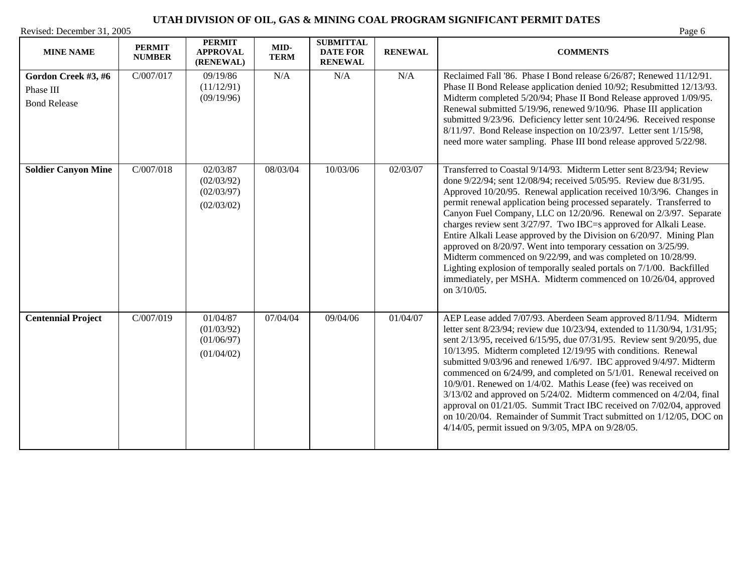| <b>MINE NAME</b>                                        | <b>PERMIT</b><br><b>NUMBER</b> | <b>PERMIT</b><br><b>APPROVAL</b><br>(RENEWAL)      | MID-<br><b>TERM</b> | <b>SUBMITTAL</b><br><b>DATE FOR</b><br><b>RENEWAL</b> | <b>RENEWAL</b> | <b>COMMENTS</b>                                                                                                                                                                                                                                                                                                                                                                                                                                                                                                                                                                                                                                                                                                                                                                                         |
|---------------------------------------------------------|--------------------------------|----------------------------------------------------|---------------------|-------------------------------------------------------|----------------|---------------------------------------------------------------------------------------------------------------------------------------------------------------------------------------------------------------------------------------------------------------------------------------------------------------------------------------------------------------------------------------------------------------------------------------------------------------------------------------------------------------------------------------------------------------------------------------------------------------------------------------------------------------------------------------------------------------------------------------------------------------------------------------------------------|
| Gordon Creek #3, #6<br>Phase III<br><b>Bond Release</b> | C/007/017                      | 09/19/86<br>(11/12/91)<br>(09/19/96)               | N/A                 | N/A                                                   | N/A            | Reclaimed Fall '86. Phase I Bond release 6/26/87; Renewed 11/12/91.<br>Phase II Bond Release application denied 10/92; Resubmitted 12/13/93.<br>Midterm completed 5/20/94; Phase II Bond Release approved 1/09/95.<br>Renewal submitted 5/19/96, renewed 9/10/96. Phase III application<br>submitted 9/23/96. Deficiency letter sent 10/24/96. Received response<br>8/11/97. Bond Release inspection on 10/23/97. Letter sent 1/15/98,<br>need more water sampling. Phase III bond release approved 5/22/98.                                                                                                                                                                                                                                                                                            |
| <b>Soldier Canyon Mine</b>                              | C/007/018                      | 02/03/87<br>(02/03/92)<br>(02/03/97)<br>(02/03/02) | 08/03/04            | 10/03/06                                              | 02/03/07       | Transferred to Coastal 9/14/93. Midterm Letter sent 8/23/94; Review<br>done 9/22/94; sent 12/08/94; received 5/05/95. Review due 8/31/95.<br>Approved 10/20/95. Renewal application received 10/3/96. Changes in<br>permit renewal application being processed separately. Transferred to<br>Canyon Fuel Company, LLC on 12/20/96. Renewal on 2/3/97. Separate<br>charges review sent 3/27/97. Two IBC=s approved for Alkali Lease.<br>Entire Alkali Lease approved by the Division on 6/20/97. Mining Plan<br>approved on 8/20/97. Went into temporary cessation on 3/25/99.<br>Midterm commenced on 9/22/99, and was completed on 10/28/99.<br>Lighting explosion of temporally sealed portals on 7/1/00. Backfilled<br>immediately, per MSHA. Midterm commenced on 10/26/04, approved<br>on 3/10/05. |
| <b>Centennial Project</b>                               | C/007/019                      | 01/04/87<br>(01/03/92)<br>(01/06/97)<br>(01/04/02) | 07/04/04            | 09/04/06                                              | 01/04/07       | AEP Lease added 7/07/93. Aberdeen Seam approved 8/11/94. Midterm<br>letter sent 8/23/94; review due 10/23/94, extended to 11/30/94, 1/31/95;<br>sent 2/13/95, received 6/15/95, due 07/31/95. Review sent 9/20/95, due<br>10/13/95. Midterm completed 12/19/95 with conditions. Renewal<br>submitted 9/03/96 and renewed 1/6/97. IBC approved 9/4/97. Midterm<br>commenced on 6/24/99, and completed on 5/1/01. Renewal received on<br>10/9/01. Renewed on 1/4/02. Mathis Lease (fee) was received on<br>3/13/02 and approved on 5/24/02. Midterm commenced on 4/2/04, final<br>approval on 01/21/05. Summit Tract IBC received on 7/02/04, approved<br>on 10/20/04. Remainder of Summit Tract submitted on 1/12/05, DOC on<br>4/14/05, permit issued on 9/3/05, MPA on 9/28/05.                        |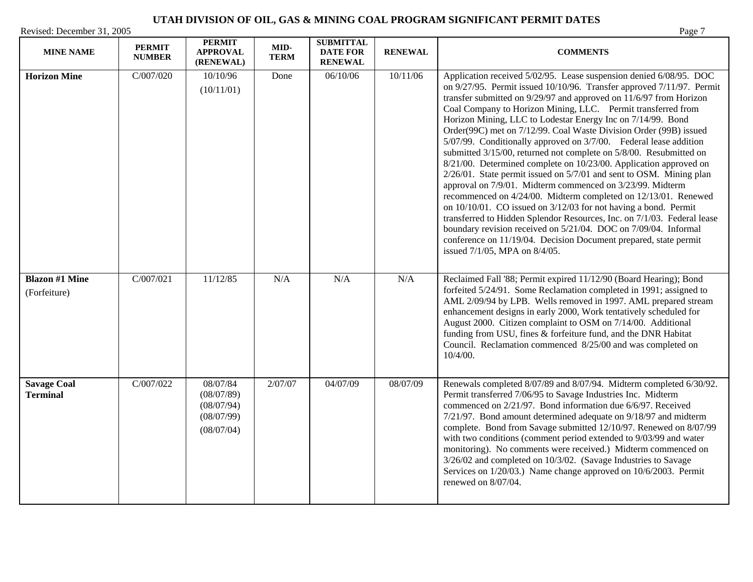| <b>MINE NAME</b>                      | <b>PERMIT</b><br><b>NUMBER</b> | <b>PERMIT</b><br><b>APPROVAL</b><br>(RENEWAL)                    | MID-<br><b>TERM</b> | <b>SUBMITTAL</b><br><b>DATE FOR</b><br><b>RENEWAL</b> | <b>RENEWAL</b> | <b>COMMENTS</b>                                                                                                                                                                                                                                                                                                                                                                                                                                                                                                                                                                                                                                                                                                                                                                                                                                                                                                                                                                                                                                                                                                                                                             |
|---------------------------------------|--------------------------------|------------------------------------------------------------------|---------------------|-------------------------------------------------------|----------------|-----------------------------------------------------------------------------------------------------------------------------------------------------------------------------------------------------------------------------------------------------------------------------------------------------------------------------------------------------------------------------------------------------------------------------------------------------------------------------------------------------------------------------------------------------------------------------------------------------------------------------------------------------------------------------------------------------------------------------------------------------------------------------------------------------------------------------------------------------------------------------------------------------------------------------------------------------------------------------------------------------------------------------------------------------------------------------------------------------------------------------------------------------------------------------|
| <b>Horizon Mine</b>                   | C/007/020                      | 10/10/96<br>(10/11/01)                                           | Done                | 06/10/06                                              | 10/11/06       | Application received 5/02/95. Lease suspension denied 6/08/95. DOC<br>on 9/27/95. Permit issued 10/10/96. Transfer approved 7/11/97. Permit<br>transfer submitted on 9/29/97 and approved on 11/6/97 from Horizon<br>Coal Company to Horizon Mining, LLC. Permit transferred from<br>Horizon Mining, LLC to Lodestar Energy Inc on 7/14/99. Bond<br>Order(99C) met on 7/12/99. Coal Waste Division Order (99B) issued<br>5/07/99. Conditionally approved on 3/7/00. Federal lease addition<br>submitted 3/15/00, returned not complete on 5/8/00. Resubmitted on<br>8/21/00. Determined complete on 10/23/00. Application approved on<br>$2/26/01$ . State permit issued on $5/7/01$ and sent to OSM. Mining plan<br>approval on 7/9/01. Midterm commenced on 3/23/99. Midterm<br>recommenced on 4/24/00. Midterm completed on 12/13/01. Renewed<br>on $10/10/01$ . CO issued on $3/12/03$ for not having a bond. Permit<br>transferred to Hidden Splendor Resources, Inc. on 7/1/03. Federal lease<br>boundary revision received on 5/21/04. DOC on 7/09/04. Informal<br>conference on 11/19/04. Decision Document prepared, state permit<br>issued 7/1/05, MPA on 8/4/05. |
| <b>Blazon #1 Mine</b><br>(Forfeiture) | C/007/021                      | 11/12/85                                                         | N/A                 | N/A                                                   | N/A            | Reclaimed Fall '88; Permit expired 11/12/90 (Board Hearing); Bond<br>forfeited 5/24/91. Some Reclamation completed in 1991; assigned to<br>AML 2/09/94 by LPB. Wells removed in 1997. AML prepared stream<br>enhancement designs in early 2000, Work tentatively scheduled for<br>August 2000. Citizen complaint to OSM on 7/14/00. Additional<br>funding from USU, fines & forfeiture fund, and the DNR Habitat<br>Council. Reclamation commenced 8/25/00 and was completed on<br>10/4/00.                                                                                                                                                                                                                                                                                                                                                                                                                                                                                                                                                                                                                                                                                 |
| <b>Savage Coal</b><br><b>Terminal</b> | C/007/022                      | 08/07/84<br>(08/07/89)<br>(08/07/94)<br>(08/07/99)<br>(08/07/04) | 2/07/07             | 04/07/09                                              | 08/07/09       | Renewals completed 8/07/89 and 8/07/94. Midterm completed 6/30/92.<br>Permit transferred 7/06/95 to Savage Industries Inc. Midterm<br>commenced on 2/21/97. Bond information due 6/6/97. Received<br>7/21/97. Bond amount determined adequate on 9/18/97 and midterm<br>complete. Bond from Savage submitted 12/10/97. Renewed on 8/07/99<br>with two conditions (comment period extended to 9/03/99 and water<br>monitoring). No comments were received.) Midterm commenced on<br>3/26/02 and completed on 10/3/02. (Savage Industries to Savage<br>Services on 1/20/03.) Name change approved on 10/6/2003. Permit<br>renewed on 8/07/04.                                                                                                                                                                                                                                                                                                                                                                                                                                                                                                                                 |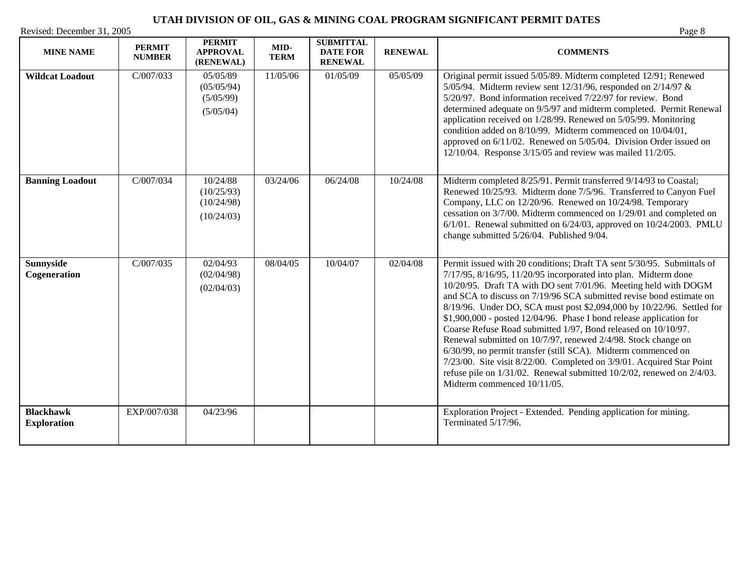| <b>MINE NAME</b>                       | <b>PERMIT</b><br><b>NUMBER</b> | <b>PERMIT</b><br><b>APPROVAL</b><br>(RENEWAL)      | MID-<br><b>TERM</b> | <b>SUBMITTAL</b><br><b>DATE FOR</b><br><b>RENEWAL</b> | <b>RENEWAL</b> | <b>COMMENTS</b>                                                                                                                                                                                                                                                                                                                                                                                                                                                                                                                                                                                                                                                                                                                                                                                                             |
|----------------------------------------|--------------------------------|----------------------------------------------------|---------------------|-------------------------------------------------------|----------------|-----------------------------------------------------------------------------------------------------------------------------------------------------------------------------------------------------------------------------------------------------------------------------------------------------------------------------------------------------------------------------------------------------------------------------------------------------------------------------------------------------------------------------------------------------------------------------------------------------------------------------------------------------------------------------------------------------------------------------------------------------------------------------------------------------------------------------|
| <b>Wildcat Loadout</b>                 | C/007/033                      | 05/05/89<br>(05/05/94)<br>(5/05/99)<br>(5/05/04)   | 11/05/06            | 01/05/09                                              | 05/05/09       | Original permit issued 5/05/89. Midterm completed 12/91; Renewed<br>5/05/94. Midterm review sent 12/31/96, responded on 2/14/97 $\&$<br>5/20/97. Bond information received 7/22/97 for review. Bond<br>determined adequate on 9/5/97 and midterm completed. Permit Renewal<br>application received on 1/28/99. Renewed on 5/05/99. Monitoring<br>condition added on 8/10/99. Midterm commenced on 10/04/01,<br>approved on 6/11/02. Renewed on 5/05/04. Division Order issued on<br>12/10/04. Response 3/15/05 and review was mailed 11/2/05.                                                                                                                                                                                                                                                                               |
| <b>Banning Loadout</b>                 | C/007/034                      | 10/24/88<br>(10/25/93)<br>(10/24/98)<br>(10/24/03) | 03/24/06            | 06/24/08                                              | 10/24/08       | Midterm completed 8/25/91. Permit transferred 9/14/93 to Coastal;<br>Renewed 10/25/93. Midterm done 7/5/96. Transferred to Canyon Fuel<br>Company, LLC on 12/20/96. Renewed on 10/24/98. Temporary<br>cessation on 3/7/00. Midterm commenced on 1/29/01 and completed on<br>$6/1/01$ . Renewal submitted on $6/24/03$ , approved on $10/24/2003$ . PMLU<br>change submitted 5/26/04. Published 9/04.                                                                                                                                                                                                                                                                                                                                                                                                                        |
| <b>Sunnyside</b><br>Cogeneration       | C/007/035                      | 02/04/93<br>(02/04/98)<br>(02/04/03)               | 08/04/05            | 10/04/07                                              | 02/04/08       | Permit issued with 20 conditions; Draft TA sent 5/30/95. Submittals of<br>7/17/95, 8/16/95, 11/20/95 incorporated into plan. Midterm done<br>10/20/95. Draft TA with DO sent 7/01/96. Meeting held with DOGM<br>and SCA to discuss on 7/19/96 SCA submitted revise bond estimate on<br>8/19/96. Under DO, SCA must post \$2,094,000 by 10/22/96. Settled for<br>$$1,900,000$ - posted $12/04/96$ . Phase I bond release application for<br>Coarse Refuse Road submitted 1/97, Bond released on 10/10/97.<br>Renewal submitted on 10/7/97, renewed 2/4/98. Stock change on<br>6/30/99, no permit transfer (still SCA). Midterm commenced on<br>7/23/00. Site visit 8/22/00. Completed on 3/9/01. Acquired Star Point<br>refuse pile on 1/31/02. Renewal submitted 10/2/02, renewed on 2/4/03.<br>Midterm commenced 10/11/05. |
| <b>Blackhawk</b><br><b>Exploration</b> | EXP/007/038                    | 04/23/96                                           |                     |                                                       |                | Exploration Project - Extended. Pending application for mining.<br>Terminated 5/17/96.                                                                                                                                                                                                                                                                                                                                                                                                                                                                                                                                                                                                                                                                                                                                      |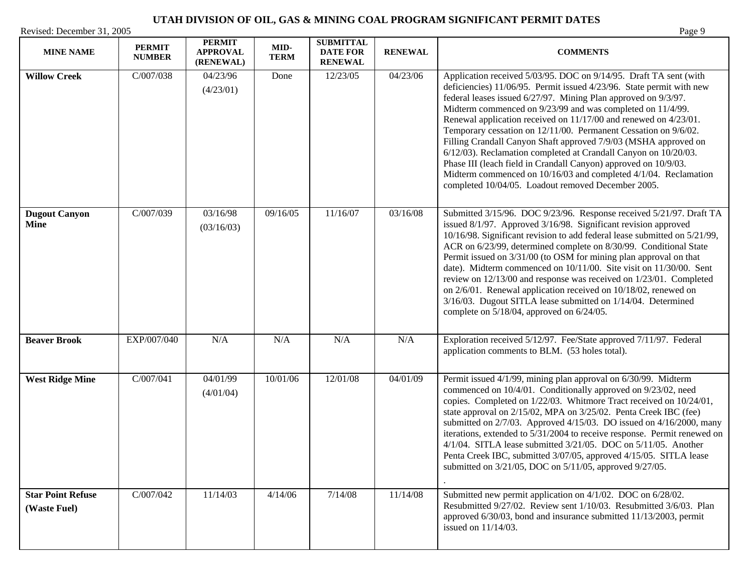| <b>MINE NAME</b>                         | <b>PERMIT</b><br><b>NUMBER</b> | <b>PERMIT</b><br><b>APPROVAL</b><br>(RENEWAL) | MID-<br><b>TERM</b> | <b>SUBMITTAL</b><br><b>DATE FOR</b><br><b>RENEWAL</b> | <b>RENEWAL</b> | <b>COMMENTS</b>                                                                                                                                                                                                                                                                                                                                                                                                                                                                                                                                                                                                                                                                                                                                    |
|------------------------------------------|--------------------------------|-----------------------------------------------|---------------------|-------------------------------------------------------|----------------|----------------------------------------------------------------------------------------------------------------------------------------------------------------------------------------------------------------------------------------------------------------------------------------------------------------------------------------------------------------------------------------------------------------------------------------------------------------------------------------------------------------------------------------------------------------------------------------------------------------------------------------------------------------------------------------------------------------------------------------------------|
| <b>Willow Creek</b>                      | C/007/038                      | 04/23/96<br>(4/23/01)                         | Done                | 12/23/05                                              | 04/23/06       | Application received 5/03/95. DOC on 9/14/95. Draft TA sent (with<br>deficiencies) 11/06/95. Permit issued 4/23/96. State permit with new<br>federal leases issued 6/27/97. Mining Plan approved on 9/3/97.<br>Midterm commenced on 9/23/99 and was completed on 11/4/99.<br>Renewal application received on 11/17/00 and renewed on 4/23/01.<br>Temporary cessation on 12/11/00. Permanent Cessation on 9/6/02.<br>Filling Crandall Canyon Shaft approved 7/9/03 (MSHA approved on<br>6/12/03). Reclamation completed at Crandall Canyon on 10/20/03.<br>Phase III (leach field in Crandall Canyon) approved on 10/9/03.<br>Midterm commenced on 10/16/03 and completed 4/1/04. Reclamation<br>completed 10/04/05. Loadout removed December 2005. |
| <b>Dugout Canyon</b><br><b>Mine</b>      | C/007/039                      | 03/16/98<br>(03/16/03)                        | 09/16/05            | 11/16/07                                              | 03/16/08       | Submitted 3/15/96. DOC 9/23/96. Response received 5/21/97. Draft TA<br>issued 8/1/97. Approved 3/16/98. Significant revision approved<br>10/16/98. Significant revision to add federal lease submitted on 5/21/99,<br>ACR on 6/23/99, determined complete on 8/30/99. Conditional State<br>Permit issued on 3/31/00 (to OSM for mining plan approval on that<br>date). Midterm commenced on 10/11/00. Site visit on 11/30/00. Sent<br>review on 12/13/00 and response was received on 1/23/01. Completed<br>on 2/6/01. Renewal application received on 10/18/02, renewed on<br>3/16/03. Dugout SITLA lease submitted on 1/14/04. Determined<br>complete on $5/18/04$ , approved on $6/24/05$ .                                                     |
| <b>Beaver Brook</b>                      | EXP/007/040                    | N/A                                           | N/A                 | N/A                                                   | N/A            | Exploration received 5/12/97. Fee/State approved 7/11/97. Federal<br>application comments to BLM. (53 holes total).                                                                                                                                                                                                                                                                                                                                                                                                                                                                                                                                                                                                                                |
| <b>West Ridge Mine</b>                   | C/007/041                      | 04/01/99<br>(4/01/04)                         | 10/01/06            | 12/01/08                                              | 04/01/09       | Permit issued 4/1/99, mining plan approval on 6/30/99. Midterm<br>commenced on 10/4/01. Conditionally approved on 9/23/02, need<br>copies. Completed on 1/22/03. Whitmore Tract received on 10/24/01,<br>state approval on 2/15/02, MPA on 3/25/02. Penta Creek IBC (fee)<br>submitted on $2/7/03$ . Approved $4/15/03$ . DO issued on $4/16/2000$ , many<br>iterations, extended to 5/31/2004 to receive response. Permit renewed on<br>$4/1/04$ . SITLA lease submitted $3/21/05$ . DOC on $5/11/05$ . Another<br>Penta Creek IBC, submitted 3/07/05, approved 4/15/05. SITLA lease<br>submitted on 3/21/05, DOC on 5/11/05, approved 9/27/05.                                                                                                   |
| <b>Star Point Refuse</b><br>(Waste Fuel) | C/007/042                      | 11/14/03                                      | 4/14/06             | 7/14/08                                               | 11/14/08       | Submitted new permit application on 4/1/02. DOC on 6/28/02.<br>Resubmitted 9/27/02. Review sent 1/10/03. Resubmitted 3/6/03. Plan<br>approved 6/30/03, bond and insurance submitted 11/13/2003, permit<br>issued on $11/14/03$ .                                                                                                                                                                                                                                                                                                                                                                                                                                                                                                                   |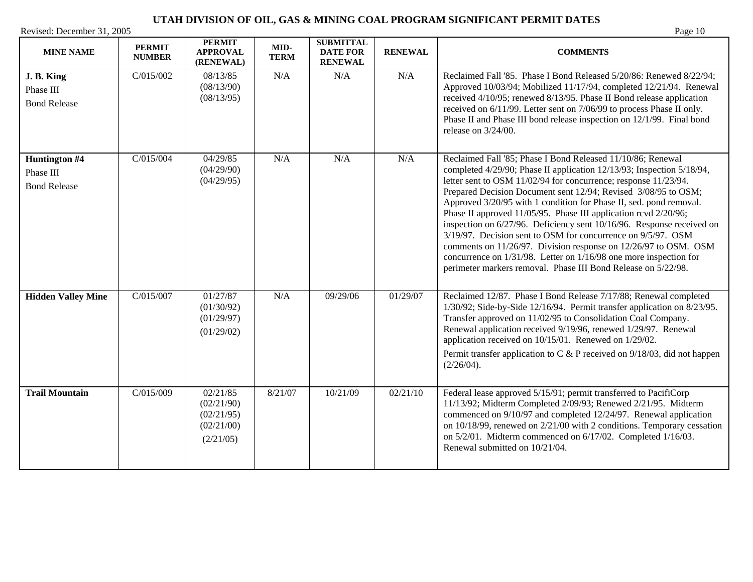| <b>MINE NAME</b>                                  | <b>PERMIT</b><br><b>NUMBER</b> | <b>PERMIT</b><br><b>APPROVAL</b><br>(RENEWAL)                   | MID-<br><b>TERM</b> | <b>SUBMITTAL</b><br><b>DATE FOR</b><br><b>RENEWAL</b> | <b>RENEWAL</b> | <b>COMMENTS</b>                                                                                                                                                                                                                                                                                                                                                                                                                                                                                                                                                                                                                                                                                                                                                      |
|---------------------------------------------------|--------------------------------|-----------------------------------------------------------------|---------------------|-------------------------------------------------------|----------------|----------------------------------------------------------------------------------------------------------------------------------------------------------------------------------------------------------------------------------------------------------------------------------------------------------------------------------------------------------------------------------------------------------------------------------------------------------------------------------------------------------------------------------------------------------------------------------------------------------------------------------------------------------------------------------------------------------------------------------------------------------------------|
| J. B. King<br>Phase III<br><b>Bond Release</b>    | C/015/002                      | 08/13/85<br>(08/13/90)<br>(08/13/95)                            | N/A                 | N/A                                                   | N/A            | Reclaimed Fall '85. Phase I Bond Released 5/20/86: Renewed 8/22/94;<br>Approved 10/03/94; Mobilized 11/17/94, completed 12/21/94. Renewal<br>received 4/10/95; renewed 8/13/95. Phase II Bond release application<br>received on 6/11/99. Letter sent on 7/06/99 to process Phase II only.<br>Phase II and Phase III bond release inspection on 12/1/99. Final bond<br>release on 3/24/00.                                                                                                                                                                                                                                                                                                                                                                           |
| Huntington #4<br>Phase III<br><b>Bond Release</b> | C/015/004                      | 04/29/85<br>(04/29/90)<br>(04/29/95)                            | N/A                 | N/A                                                   | N/A            | Reclaimed Fall '85; Phase I Bond Released 11/10/86; Renewal<br>completed 4/29/90; Phase II application 12/13/93; Inspection 5/18/94,<br>letter sent to OSM 11/02/94 for concurrence; response 11/23/94.<br>Prepared Decision Document sent 12/94; Revised 3/08/95 to OSM;<br>Approved 3/20/95 with 1 condition for Phase II, sed. pond removal.<br>Phase II approved 11/05/95. Phase III application rcvd 2/20/96;<br>inspection on 6/27/96. Deficiency sent 10/16/96. Response received on<br>3/19/97. Decision sent to OSM for concurrence on 9/5/97. OSM<br>comments on 11/26/97. Division response on 12/26/97 to OSM. OSM<br>concurrence on 1/31/98. Letter on 1/16/98 one more inspection for<br>perimeter markers removal. Phase III Bond Release on 5/22/98. |
| <b>Hidden Valley Mine</b>                         | C/015/007                      | 01/27/87<br>(01/30/92)<br>(01/29/97)<br>(01/29/02)              | N/A                 | 09/29/06                                              | 01/29/07       | Reclaimed 12/87. Phase I Bond Release 7/17/88; Renewal completed<br>1/30/92; Side-by-Side 12/16/94. Permit transfer application on 8/23/95.<br>Transfer approved on 11/02/95 to Consolidation Coal Company.<br>Renewal application received 9/19/96, renewed 1/29/97. Renewal<br>application received on 10/15/01. Renewed on 1/29/02.<br>Permit transfer application to C & P received on $9/18/03$ , did not happen<br>(2/26/04).                                                                                                                                                                                                                                                                                                                                  |
| <b>Trail Mountain</b>                             | C/015/009                      | 02/21/85<br>(02/21/90)<br>(02/21/95)<br>(02/21/00)<br>(2/21/05) | 8/21/07             | 10/21/09                                              | 02/21/10       | Federal lease approved 5/15/91; permit transferred to PacifiCorp<br>11/13/92; Midterm Completed 2/09/93; Renewed 2/21/95. Midterm<br>commenced on 9/10/97 and completed 12/24/97. Renewal application<br>on 10/18/99, renewed on 2/21/00 with 2 conditions. Temporary cessation<br>on 5/2/01. Midterm commenced on 6/17/02. Completed 1/16/03.<br>Renewal submitted on 10/21/04.                                                                                                                                                                                                                                                                                                                                                                                     |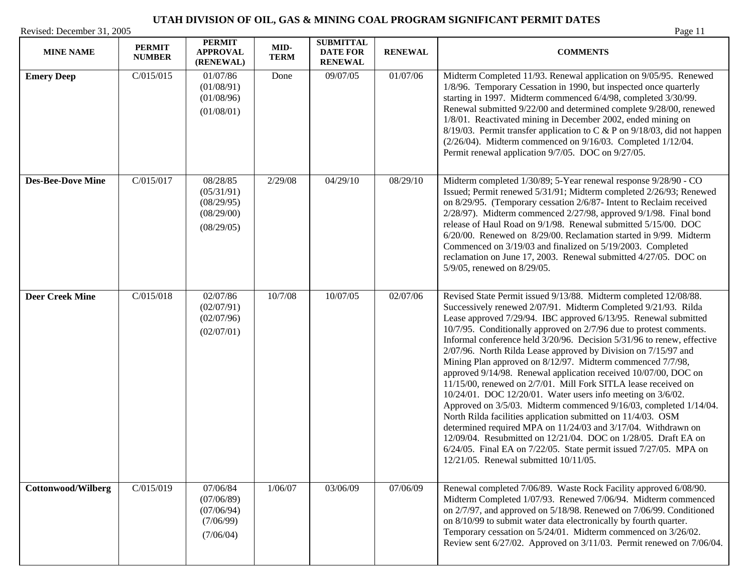**Cottonwood/Wilberg C/015/019 07/06/84** 

(07/06/89) (07/06/94) (7/06/99) (7/06/04)

| Revised: December 31, 2005<br><b>MINE NAME</b> | <b>PERMIT</b><br><b>NUMBER</b> | <b>PERMIT</b><br><b>APPROVAL</b><br>(RENEWAL)                    | MID-<br><b>TERM</b> | <b>SUBMITTAL</b><br><b>DATE FOR</b><br><b>RENEWAL</b> | <b>RENEWAL</b> | Page 11<br><b>COMMENTS</b>                                                                                                                                                                                                                                                                                                                                                                                                                                                                                                                                                                                                                                                                                                                                                                                                     |
|------------------------------------------------|--------------------------------|------------------------------------------------------------------|---------------------|-------------------------------------------------------|----------------|--------------------------------------------------------------------------------------------------------------------------------------------------------------------------------------------------------------------------------------------------------------------------------------------------------------------------------------------------------------------------------------------------------------------------------------------------------------------------------------------------------------------------------------------------------------------------------------------------------------------------------------------------------------------------------------------------------------------------------------------------------------------------------------------------------------------------------|
| <b>Emery Deep</b>                              | C/015/015                      | 01/07/86<br>(01/08/91)<br>(01/08/96)<br>(01/08/01)               | Done                | 09/07/05                                              | 01/07/06       | Midterm Completed 11/93. Renewal application on 9/05/95. Renewed<br>1/8/96. Temporary Cessation in 1990, but inspected once quarterly<br>starting in 1997. Midterm commenced 6/4/98, completed 3/30/99.<br>Renewal submitted 9/22/00 and determined complete 9/28/00, renewed<br>1/8/01. Reactivated mining in December 2002, ended mining on<br>8/19/03. Permit transfer application to C & P on $9/18/03$ , did not happen<br>$(2/26/04)$ . Midterm commenced on 9/16/03. Completed 1/12/04.<br>Permit renewal application 9/7/05. DOC on 9/27/05.                                                                                                                                                                                                                                                                           |
| <b>Des-Bee-Dove Mine</b>                       | C/015/017                      | 08/28/85<br>(05/31/91)<br>(08/29/95)<br>(08/29/00)<br>(08/29/05) | 2/29/08             | 04/29/10                                              | 08/29/10       | Midterm completed 1/30/89; 5-Year renewal response 9/28/90 - CO<br>Issued; Permit renewed 5/31/91; Midterm completed 2/26/93; Renewed<br>on 8/29/95. (Temporary cessation 2/6/87- Intent to Reclaim received<br>$2/28/97$ ). Midterm commenced $2/27/98$ , approved $9/1/98$ . Final bond<br>release of Haul Road on 9/1/98. Renewal submitted 5/15/00. DOC<br>6/20/00. Renewed on 8/29/00. Reclamation started in 9/99. Midterm<br>Commenced on 3/19/03 and finalized on 5/19/2003. Completed<br>reclamation on June 17, 2003. Renewal submitted 4/27/05. DOC on<br>5/9/05, renewed on 8/29/05.                                                                                                                                                                                                                               |
| <b>Deer Creek Mine</b>                         | C/015/018                      | 02/07/86<br>(02/07/91)<br>(02/07/96)<br>(02/07/01)               | 10/7/08             | 10/07/05                                              | 02/07/06       | Revised State Permit issued 9/13/88. Midterm completed 12/08/88.<br>Successively renewed 2/07/91. Midterm Completed 9/21/93. Rilda<br>Lease approved 7/29/94. IBC approved 6/13/95. Renewal submitted<br>10/7/95. Conditionally approved on 2/7/96 due to protest comments.<br>Informal conference held 3/20/96. Decision 5/31/96 to renew, effective<br>2/07/96. North Rilda Lease approved by Division on 7/15/97 and<br>Mining Plan approved on 8/12/97. Midterm commenced 7/7/98,<br>approved 9/14/98. Renewal application received 10/07/00, DOC on<br>11/15/00, renewed on 2/7/01. Mill Fork SITLA lease received on<br>10/24/01. DOC 12/20/01. Water users info meeting on 3/6/02.<br>Approved on 3/5/03. Midterm commenced 9/16/03, completed 1/14/04.<br>North Rilda facilities application submitted on 11/4/03. OSM |

1/06/07 03/06/09 07/06/09 Renewal completed 7/06/89. Waste Rock Facility approved 6/08/90. Midterm Completed 1/07/93. Renewed 7/06/94. Midterm commenced on 2/7/97, and approved on 5/18/98. Renewed on 7/06/99. Conditioned on 8/10/99 to submit water data electronically by fourth quarter. Temporary cessation on 5/24/01. Midterm commenced on 3/26/02. Review sent 6/27/02. Approved on 3/11/03. Permit renewed on 7/06/04.

determined required MPA on 11/24/03 and 3/17/04. Withdrawn on 12/09/04. Resubmitted on 12/21/04. DOC on 1/28/05. Draft EA on 6/24/05. Final EA on 7/22/05. State permit issued 7/27/05. MPA on

12/21/05. Renewal submitted 10/11/05.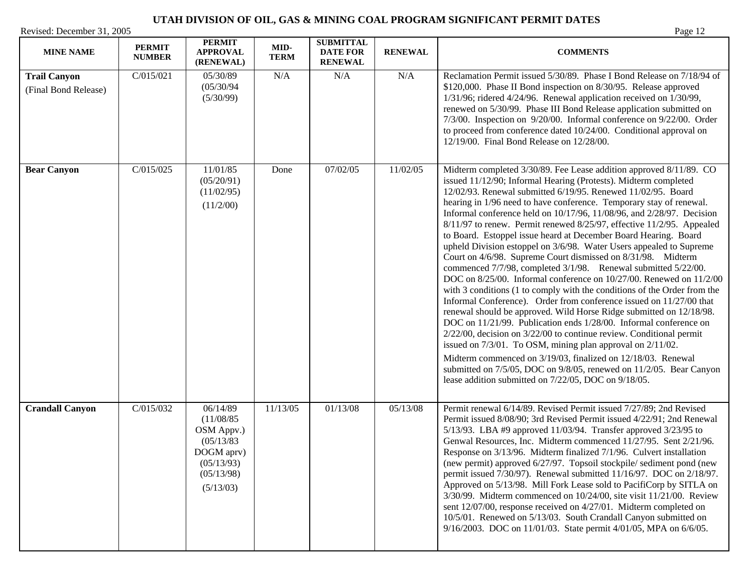| <b>MINE NAME</b>                            | <b>PERMIT</b><br><b>NUMBER</b> | <b>PERMIT</b><br><b>APPROVAL</b><br>(RENEWAL)                                                             | MID-<br><b>TERM</b> | <b>SUBMITTAL</b><br><b>DATE FOR</b><br><b>RENEWAL</b> | <b>RENEWAL</b> | <b>COMMENTS</b>                                                                                                                                                                                                                                                                                                                                                                                                                                                                                                                                                                                                                                                                                                                                                                                                                                                                                                                                                                                                                                                                                                                                                                                                                                                                                                                                                                                                                 |
|---------------------------------------------|--------------------------------|-----------------------------------------------------------------------------------------------------------|---------------------|-------------------------------------------------------|----------------|---------------------------------------------------------------------------------------------------------------------------------------------------------------------------------------------------------------------------------------------------------------------------------------------------------------------------------------------------------------------------------------------------------------------------------------------------------------------------------------------------------------------------------------------------------------------------------------------------------------------------------------------------------------------------------------------------------------------------------------------------------------------------------------------------------------------------------------------------------------------------------------------------------------------------------------------------------------------------------------------------------------------------------------------------------------------------------------------------------------------------------------------------------------------------------------------------------------------------------------------------------------------------------------------------------------------------------------------------------------------------------------------------------------------------------|
| <b>Trail Canyon</b><br>(Final Bond Release) | C/015/021                      | 05/30/89<br>(05/30/94)<br>(5/30/99)                                                                       | N/A                 | N/A                                                   | N/A            | Reclamation Permit issued 5/30/89. Phase I Bond Release on 7/18/94 of<br>\$120,000. Phase II Bond inspection on 8/30/95. Release approved<br>$1/31/96$ ; ridered $4/24/96$ . Renewal application received on $1/30/99$ ,<br>renewed on 5/30/99. Phase III Bond Release application submitted on<br>7/3/00. Inspection on 9/20/00. Informal conference on 9/22/00. Order<br>to proceed from conference dated 10/24/00. Conditional approval on<br>12/19/00. Final Bond Release on 12/28/00.                                                                                                                                                                                                                                                                                                                                                                                                                                                                                                                                                                                                                                                                                                                                                                                                                                                                                                                                      |
| <b>Bear Canyon</b>                          | C/015/025                      | 11/01/85<br>(05/20/91)<br>(11/02/95)<br>(11/2/00)                                                         | Done                | 07/02/05                                              | 11/02/05       | Midterm completed 3/30/89. Fee Lease addition approved 8/11/89. CO<br>issued 11/12/90; Informal Hearing (Protests). Midterm completed<br>12/02/93. Renewal submitted 6/19/95. Renewed 11/02/95. Board<br>hearing in 1/96 need to have conference. Temporary stay of renewal.<br>Informal conference held on 10/17/96, 11/08/96, and 2/28/97. Decision<br>8/11/97 to renew. Permit renewed 8/25/97, effective 11/2/95. Appealed<br>to Board. Estoppel issue heard at December Board Hearing. Board<br>upheld Division estoppel on 3/6/98. Water Users appealed to Supreme<br>Court on 4/6/98. Supreme Court dismissed on 8/31/98. Midterm<br>commenced 7/7/98, completed 3/1/98. Renewal submitted 5/22/00.<br>DOC on 8/25/00. Informal conference on 10/27/00. Renewed on 11/2/00<br>with 3 conditions (1 to comply with the conditions of the Order from the<br>Informal Conference). Order from conference issued on 11/27/00 that<br>renewal should be approved. Wild Horse Ridge submitted on 12/18/98.<br>DOC on 11/21/99. Publication ends 1/28/00. Informal conference on<br>$2/22/00$ , decision on $3/22/00$ to continue review. Conditional permit<br>issued on $7/3/01$ . To OSM, mining plan approval on $2/11/02$ .<br>Midterm commenced on 3/19/03, finalized on 12/18/03. Renewal<br>submitted on 7/5/05, DOC on 9/8/05, renewed on 11/2/05. Bear Canyon<br>lease addition submitted on 7/22/05, DOC on 9/18/05. |
| <b>Crandall Canyon</b>                      | C/015/032                      | 06/14/89<br>(11/08/85)<br>OSM Appv.)<br>(05/13/83)<br>DOGM aprv)<br>(05/13/93)<br>(05/13/98)<br>(5/13/03) | 11/13/05            | 01/13/08                                              | 05/13/08       | Permit renewal 6/14/89. Revised Permit issued 7/27/89; 2nd Revised<br>Permit issued 8/08/90; 3rd Revised Permit issued 4/22/91; 2nd Renewal<br>5/13/93. LBA #9 approved 11/03/94. Transfer approved 3/23/95 to<br>Genwal Resources, Inc. Midterm commenced 11/27/95. Sent 2/21/96.<br>Response on 3/13/96. Midterm finalized 7/1/96. Culvert installation<br>(new permit) approved 6/27/97. Topsoil stockpile/ sediment pond (new<br>permit issued 7/30/97). Renewal submitted 11/16/97. DOC on 2/18/97.<br>Approved on 5/13/98. Mill Fork Lease sold to PacifiCorp by SITLA on<br>3/30/99. Midterm commenced on 10/24/00, site visit 11/21/00. Review<br>sent 12/07/00, response received on 4/27/01. Midterm completed on<br>10/5/01. Renewed on 5/13/03. South Crandall Canyon submitted on<br>9/16/2003. DOC on 11/01/03. State permit 4/01/05, MPA on 6/6/05.                                                                                                                                                                                                                                                                                                                                                                                                                                                                                                                                                              |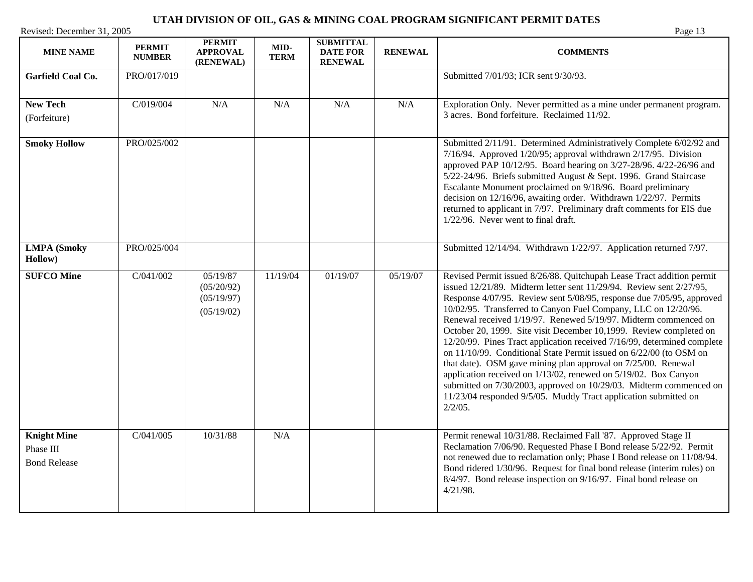| <b>MINE NAME</b>                                       | <b>PERMIT</b><br><b>NUMBER</b> | <b>PERMIT</b><br><b>APPROVAL</b><br>(RENEWAL)      | MID-<br><b>TERM</b> | <b>SUBMITTAL</b><br><b>DATE FOR</b><br><b>RENEWAL</b> | <b>RENEWAL</b> | <b>COMMENTS</b>                                                                                                                                                                                                                                                                                                                                                                                                                                                                                                                                                                                                                                                                                                                                                                                                                                                              |
|--------------------------------------------------------|--------------------------------|----------------------------------------------------|---------------------|-------------------------------------------------------|----------------|------------------------------------------------------------------------------------------------------------------------------------------------------------------------------------------------------------------------------------------------------------------------------------------------------------------------------------------------------------------------------------------------------------------------------------------------------------------------------------------------------------------------------------------------------------------------------------------------------------------------------------------------------------------------------------------------------------------------------------------------------------------------------------------------------------------------------------------------------------------------------|
| <b>Garfield Coal Co.</b>                               | PRO/017/019                    |                                                    |                     |                                                       |                | Submitted 7/01/93; ICR sent 9/30/93.                                                                                                                                                                                                                                                                                                                                                                                                                                                                                                                                                                                                                                                                                                                                                                                                                                         |
| <b>New Tech</b><br>(Forfeiture)                        | C/019/004                      | N/A                                                | N/A                 | N/A                                                   | N/A            | Exploration Only. Never permitted as a mine under permanent program.<br>3 acres. Bond forfeiture. Reclaimed 11/92.                                                                                                                                                                                                                                                                                                                                                                                                                                                                                                                                                                                                                                                                                                                                                           |
| <b>Smoky Hollow</b>                                    | PRO/025/002                    |                                                    |                     |                                                       |                | Submitted 2/11/91. Determined Administratively Complete 6/02/92 and<br>7/16/94. Approved 1/20/95; approval withdrawn 2/17/95. Division<br>approved PAP 10/12/95. Board hearing on 3/27-28/96. 4/22-26/96 and<br>5/22-24/96. Briefs submitted August & Sept. 1996. Grand Staircase<br>Escalante Monument proclaimed on 9/18/96. Board preliminary<br>decision on 12/16/96, awaiting order. Withdrawn 1/22/97. Permits<br>returned to applicant in 7/97. Preliminary draft comments for EIS due<br>1/22/96. Never went to final draft.                                                                                                                                                                                                                                                                                                                                         |
| <b>LMPA</b> (Smoky<br>Hollow)                          | PRO/025/004                    |                                                    |                     |                                                       |                | Submitted 12/14/94. Withdrawn 1/22/97. Application returned 7/97.                                                                                                                                                                                                                                                                                                                                                                                                                                                                                                                                                                                                                                                                                                                                                                                                            |
| <b>SUFCO Mine</b>                                      | C/041/002                      | 05/19/87<br>(05/20/92)<br>(05/19/97)<br>(05/19/02) | 11/19/04            | 01/19/07                                              | 05/19/07       | Revised Permit issued 8/26/88. Quitchupah Lease Tract addition permit<br>issued 12/21/89. Midterm letter sent 11/29/94. Review sent 2/27/95,<br>Response 4/07/95. Review sent 5/08/95, response due 7/05/95, approved<br>10/02/95. Transferred to Canyon Fuel Company, LLC on 12/20/96.<br>Renewal received 1/19/97. Renewed 5/19/97. Midterm commenced on<br>October 20, 1999. Site visit December 10,1999. Review completed on<br>12/20/99. Pines Tract application received 7/16/99, determined complete<br>on 11/10/99. Conditional State Permit issued on 6/22/00 (to OSM on<br>that date). OSM gave mining plan approval on 7/25/00. Renewal<br>application received on 1/13/02, renewed on 5/19/02. Box Canyon<br>submitted on 7/30/2003, approved on 10/29/03. Midterm commenced on<br>11/23/04 responded 9/5/05. Muddy Tract application submitted on<br>$2/2/05$ . |
| <b>Knight Mine</b><br>Phase III<br><b>Bond Release</b> | C/041/005                      | 10/31/88                                           | N/A                 |                                                       |                | Permit renewal 10/31/88. Reclaimed Fall '87. Approved Stage II<br>Reclamation 7/06/90. Requested Phase I Bond release 5/22/92. Permit<br>not renewed due to reclamation only; Phase I Bond release on 11/08/94.<br>Bond ridered 1/30/96. Request for final bond release (interim rules) on<br>8/4/97. Bond release inspection on 9/16/97. Final bond release on<br>4/21/98.                                                                                                                                                                                                                                                                                                                                                                                                                                                                                                  |